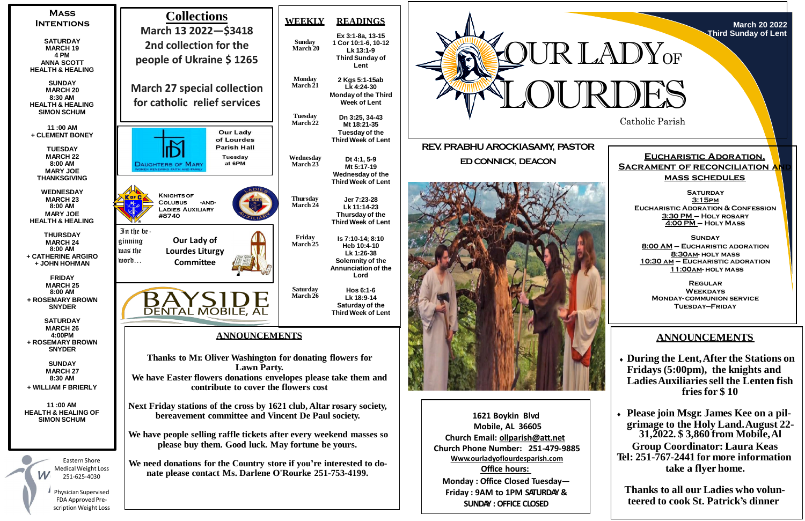Catholic Parish







**Mobile, AL 36605 Church Email: [ollparish@att.net](mailto:ollparish@att.net) Church Phone Number: 251-479-9885 Www.ourladyoflourdesparish.com Office hours: Monday : Office Closed Tuesday— Friday : 9AM to 1PM SATURDAY & SUNDAY : OFFICE CLOSED**

**SATURDAY 3:15pm Eucharistic Adoration & Confession 3:30 PM – Holy rosary 4:00 PM – Holy Mass**

# **ANNOUNCEMENTS**

 **During the Lent,After the Stations on Fridays (5:00pm), the knights and LadiesAuxiliariessell the Lenten fish fries for \$ 10**

 **Please join Msgr. James Kee on a pilgrimage to the Holy Land.August 22- 31,2022. \$ 3,860 from Mobile,Al Group Coordinator: Laura Keas Tel: 251-767-2441 for more information take a flyer home.**

**Thanks to all our Ladies who volunteered to cook St. Patrick's dinner**

### **Eucharistic Adoration, SACRAMENT OF RECONCILIATION AN mass schedules**

**Sunday 8:00 AM – Eucharistic adoration 8:30am- holy mass 10:30 am – Eucharistic adoration 11:00am- holy mass**

**Regular Weekdays Monday- communion service Tuesday—Friday**